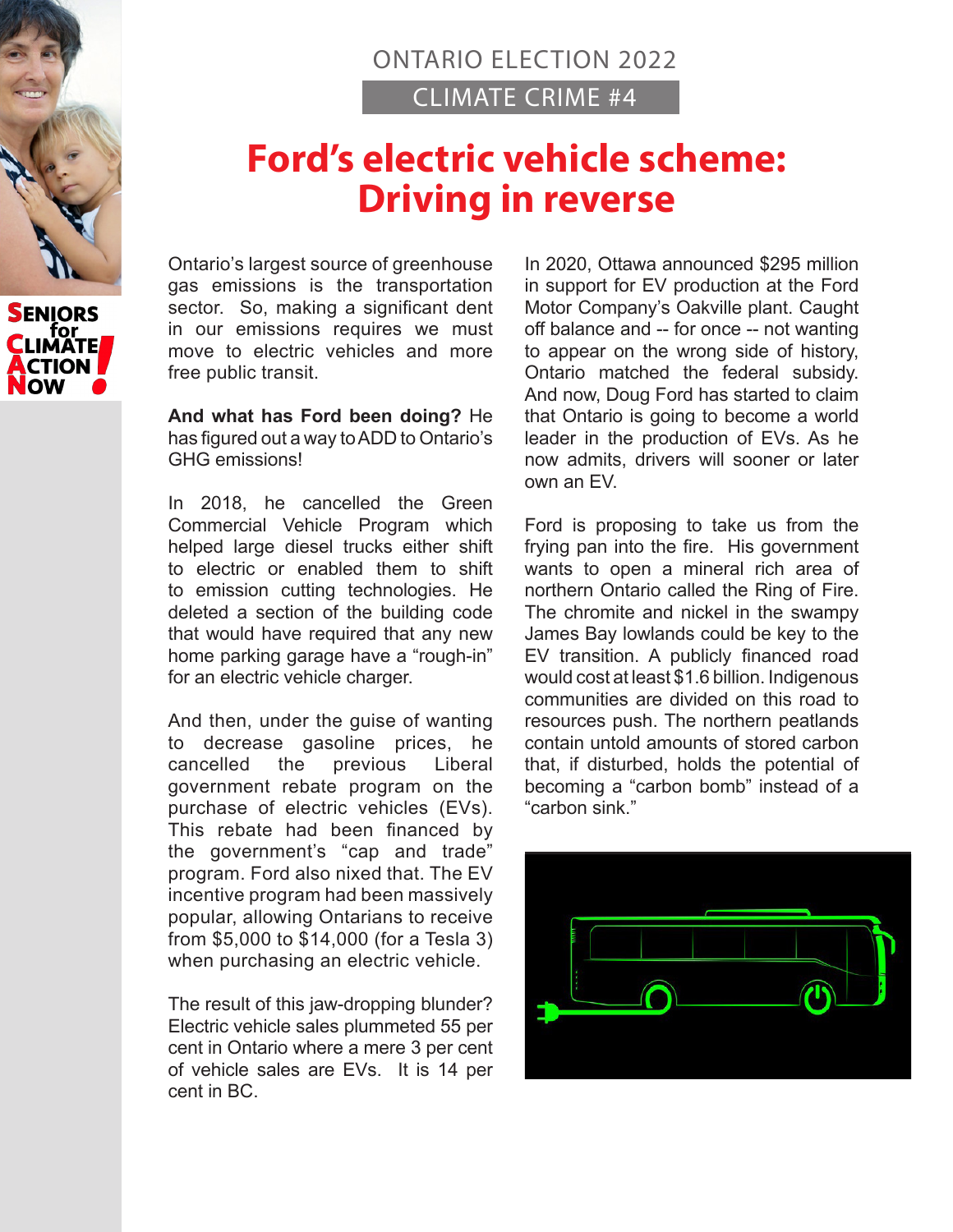

## **Ford's electric vehicle scheme: Driving in reverse**

Ontario's largest source of greenhouse gas emissions is the transportation sector. So, making a significant dent in our emissions requires we must move to electric vehicles and more free public transit.

**And what has Ford been doing?** He has figured out a way to ADD to Ontario's GHG emissions!

In 2018, he cancelled the Green Commercial Vehicle Program which helped large diesel trucks either shift to electric or enabled them to shift to emission cutting technologies. He deleted a section of the building code that would have required that any new home parking garage have a "rough-in" for an electric vehicle charger.

And then, under the guise of wanting to decrease gasoline prices, he cancelled the previous Liberal government rebate program on the purchase of electric vehicles (EVs). This rebate had been financed by the government's "cap and trade" program. Ford also nixed that. The EV incentive program had been massively popular, allowing Ontarians to receive from \$5,000 to \$14,000 (for a Tesla 3) when purchasing an electric vehicle.

The result of this jaw-dropping blunder? Electric vehicle sales plummeted 55 per cent in Ontario where a mere 3 per cent of vehicle sales are EVs. It is 14 per cent in BC.

In 2020, Ottawa announced \$295 million in support for EV production at the Ford Motor Company's Oakville plant. Caught off balance and -- for once -- not wanting to appear on the wrong side of history, Ontario matched the federal subsidy. And now, Doug Ford has started to claim that Ontario is going to become a world leader in the production of EVs. As he now admits, drivers will sooner or later own an EV.

Ford is proposing to take us from the frying pan into the fire. His government wants to open a mineral rich area of northern Ontario called the Ring of Fire. The chromite and nickel in the swampy James Bay lowlands could be key to the EV transition. A publicly financed road would cost at least \$1.6 billion. Indigenous communities are divided on this road to resources push. The northern peatlands contain untold amounts of stored carbon that, if disturbed, holds the potential of becoming a "carbon bomb" instead of a "carbon sink."